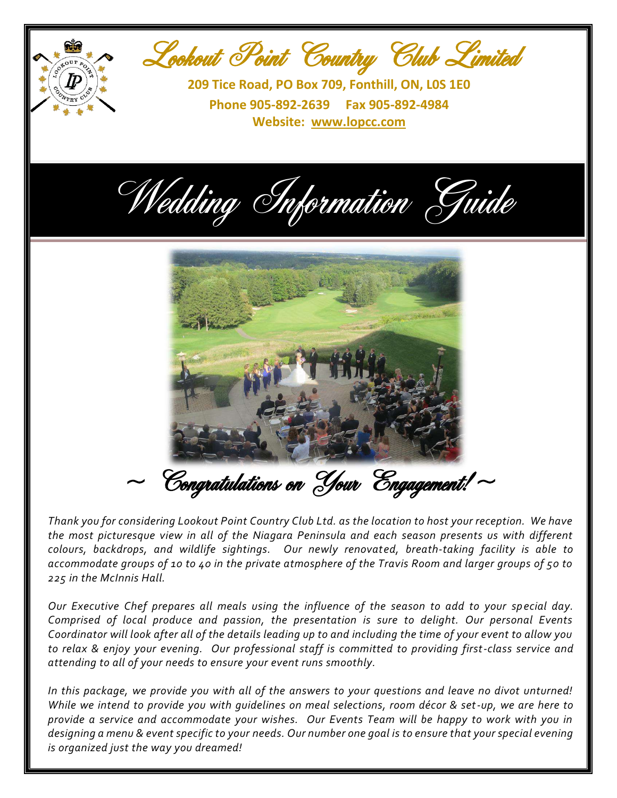

*Thank you for considering Lookout Point Country Club Ltd. as the location to host your reception. We have the most picturesque view in all of the Niagara Peninsula and each season presents us with different colours, backdrops, and wildlife sightings. Our newly renovated, breath-taking facility is able to accommodate groups of 10 to 40 in the private atmosphere of the Travis Room and larger groups of 50 to 225 in the McInnis Hall.*

*Our Executive Chef prepares all meals using the influence of the season to add to your special day. Comprised of local produce and passion, the presentation is sure to delight. Our personal Events Coordinator will look after all of the details leading up to and including the time of your event to allow you to relax & enjoy your evening. Our professional staff is committed to providing first-class service and attending to all of your needs to ensure your event runs smoothly.*

*In this package, we provide you with all of the answers to your questions and leave no divot unturned! While we intend to provide you with guidelines on meal selections, room décor & set-up, we are here to provide a service and accommodate your wishes. Our Events Team will be happy to work with you in designing a menu & event specific to your needs. Our number one goal is to ensure that your special evening is organized just the way you dreamed!*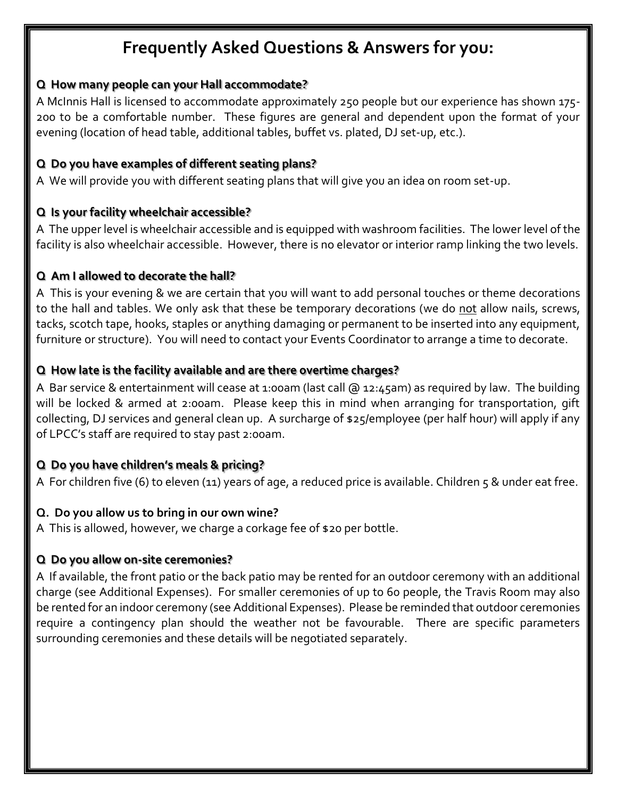# **Frequently Asked Questions & Answers for you:**

#### **Q How many people can your Hall accommodate?**

A McInnis Hall is licensed to accommodate approximately 250 people but our experience has shown 175- 200 to be a comfortable number. These figures are general and dependent upon the format of your evening (location of head table, additional tables, buffet vs. plated, DJ set-up, etc.).

#### **Q Do you have examples of different seating plans?**

A We will provide you with different seating plans that will give you an idea on room set-up.

#### **Q Is your facility wheelchair accessible?**

A The upper level is wheelchair accessible and is equipped with washroom facilities. The lower level of the facility is also wheelchair accessible. However, there is no elevator or interior ramp linking the two levels.

#### **Q Am I allowed to decorate the hall?**

A This is your evening & we are certain that you will want to add personal touches or theme decorations to the hall and tables. We only ask that these be temporary decorations (we do not allow nails, screws, tacks, scotch tape, hooks, staples or anything damaging or permanent to be inserted into any equipment, furniture or structure). You will need to contact your Events Coordinator to arrange a time to decorate.

### **Q How late is the facility available and are there overtime charges?**

A Bar service & entertainment will cease at 1:00am (last call @ 12:45am) as required by law. The building will be locked & armed at 2:00am. Please keep this in mind when arranging for transportation, gift collecting, DJ services and general clean up. A surcharge of \$25/employee (per half hour) will apply if any of LPCC's staff are required to stay past 2:00am.

### **Q Do you have children's meals & pricing?**

A For children five (6) to eleven (11) years of age, a reduced price is available. Children 5 & under eat free.

#### **Q. Do you allow us to bring in our own wine?**

A This is allowed, however, we charge a corkage fee of \$20 per bottle.

#### **Q Do you allow on-site ceremonies?**

A If available, the front patio or the back patio may be rented for an outdoor ceremony with an additional charge (see Additional Expenses). For smaller ceremonies of up to 60 people, the Travis Room may also be rented for an indoor ceremony (see Additional Expenses). Please be reminded that outdoor ceremonies require a contingency plan should the weather not be favourable. There are specific parameters surrounding ceremonies and these details will be negotiated separately.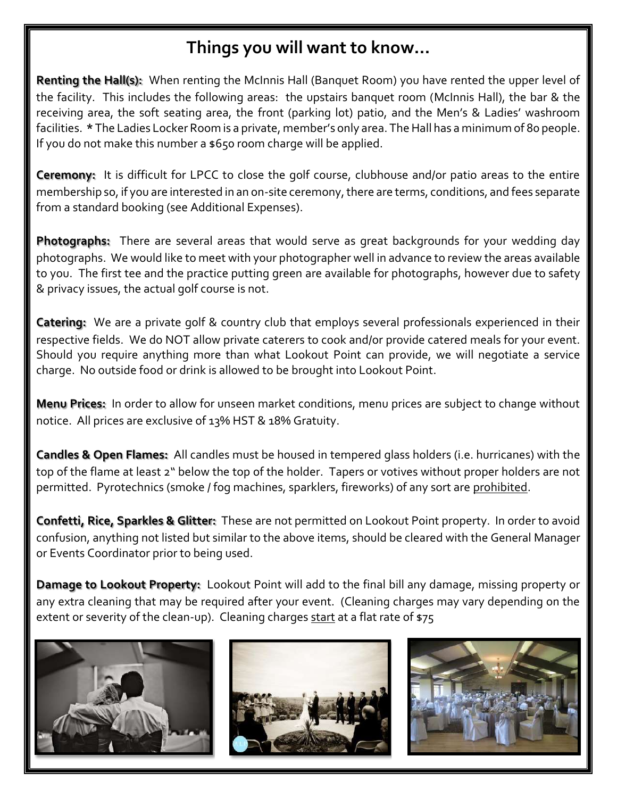# **Things you will want to know…**

**Renting the Hall(s):** When renting the McInnis Hall (Banquet Room) you have rented the upper level of the facility. This includes the following areas: the upstairs banquet room (McInnis Hall), the bar & the receiving area, the soft seating area, the front (parking lot) patio, and the Men's & Ladies' washroom facilities. **\*** The Ladies Locker Room is a private, member's only area. The Hall has a minimum of 80 people. If you do not make this number a \$650 room charge will be applied.

**Ceremony:** It is difficult for LPCC to close the golf course, clubhouse and/or patio areas to the entire membership so, if you are interested in an on-site ceremony, there are terms, conditions, and fees separate from a standard booking (see Additional Expenses).

**Photographs:** There are several areas that would serve as great backgrounds for your wedding day photographs. We would like to meet with your photographer well in advance to review the areas available to you. The first tee and the practice putting green are available for photographs, however due to safety & privacy issues, the actual golf course is not.

**Catering:** We are a private golf & country club that employs several professionals experienced in their respective fields. We do NOT allow private caterers to cook and/or provide catered meals for your event. Should you require anything more than what Lookout Point can provide, we will negotiate a service charge. No outside food or drink is allowed to be brought into Lookout Point.

**Menu Prices:** In order to allow for unseen market conditions, menu prices are subject to change without notice. All prices are exclusive of 13% HST & 18% Gratuity.

**Candles & Open Flames:** All candles must be housed in tempered glass holders (i.e. hurricanes) with the top of the flame at least 2" below the top of the holder. Tapers or votives without proper holders are not permitted. Pyrotechnics (smoke / fog machines, sparklers, fireworks) of any sort are prohibited.

**Confetti, Rice, Sparkles & Glitter:** These are not permitted on Lookout Point property. In order to avoid confusion, anything not listed but similar to the above items, should be cleared with the General Manager or Events Coordinator prior to being used.

**Damage to Lookout Property:** Lookout Point will add to the final bill any damage, missing property or any extra cleaning that may be required after your event. (Cleaning charges may vary depending on the extent or severity of the clean-up). Cleaning charges start at a flat rate of \$75





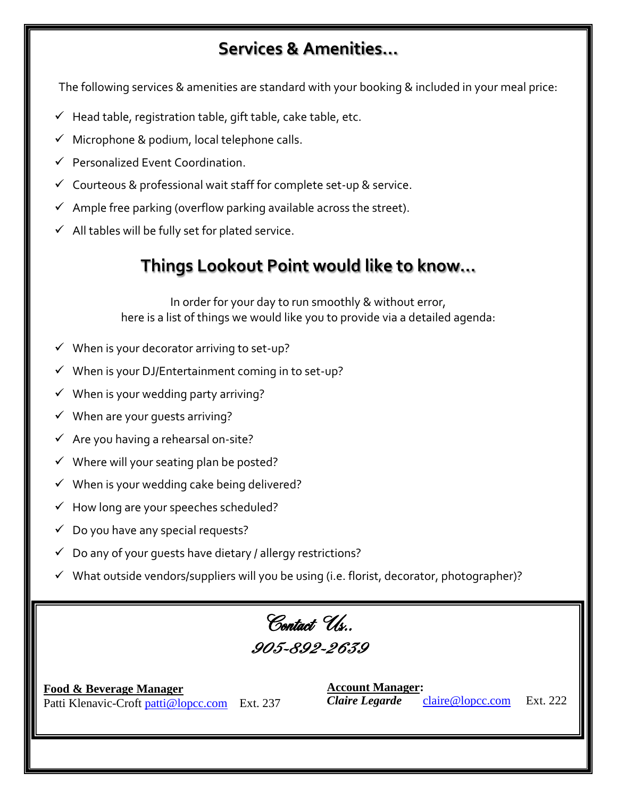# **Services & Amenities…**

The following services & amenities are standard with your booking & included in your meal price:

- $\checkmark$  Head table, registration table, gift table, cake table, etc.
- $\checkmark$  Microphone & podium, local telephone calls.
- $\checkmark$  Personalized Event Coordination.
- $\checkmark$  Courteous & professional wait staff for complete set-up & service.
- $\checkmark$  Ample free parking (overflow parking available across the street).
- $\checkmark$  All tables will be fully set for plated service.

# **Things Lookout Point would like to know…**

In order for your day to run smoothly & without error, here is a list of things we would like you to provide via a detailed agenda:

- $\checkmark$  When is your decorator arriving to set-up?
- $\checkmark$  When is your DJ/Entertainment coming in to set-up?
- $\checkmark$  When is your wedding party arriving?
- $\checkmark$  When are your guests arriving?
- $\checkmark$  Are you having a rehearsal on-site?
- $\checkmark$  Where will your seating plan be posted?
- $\checkmark$  When is your wedding cake being delivered?
- $\checkmark$  How long are your speeches scheduled?
- $\checkmark$  Do you have any special requests?
- $\checkmark$  Do any of your quests have dietary / allergy restrictions?
- $\checkmark$  What outside vendors/suppliers will you be using (i.e. florist, decorator, photographer)?

# Contact Us… 905-892-2639

**Food & Beverage Manager** Patti Klenavic-Croft [patti@lopcc.com](mailto:patti@lopcc.com) Ext. 237 **Account Manager:** *Claire Legarde*[claire@lopcc.com](mailto:claire@lopcc.com)Ext. 222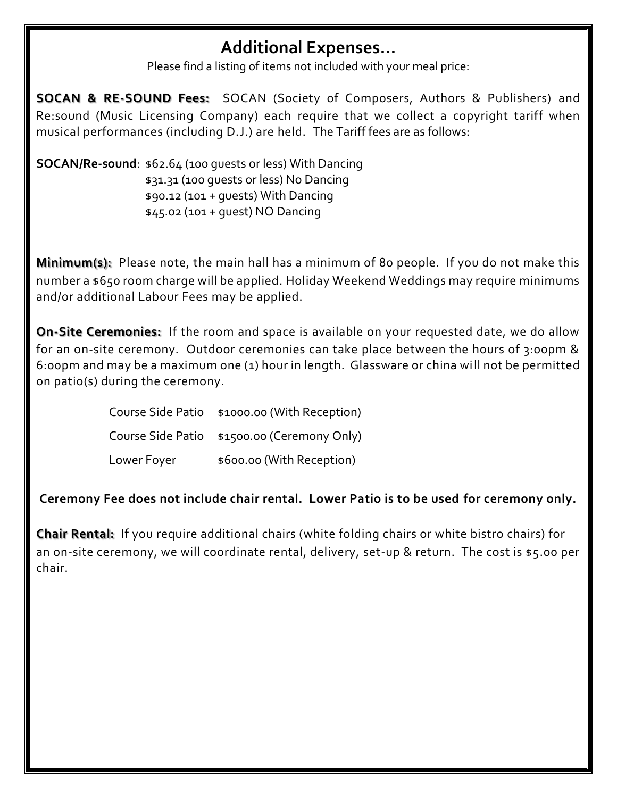## **Additional Expenses…**

Please find a listing of items not included with your meal price:

**SOCAN & RE-SOUND Fees:** SOCAN (Society of Composers, Authors & Publishers) and Re:sound (Music Licensing Company) each require that we collect a copyright tariff when musical performances (including D.J.) are held. The Tariff fees are as follows:

**SOCAN/Re-sound**: \$62.64 (100 guests or less) With Dancing \$31.31 (100 guests or less) No Dancing \$90.12 (101 + guests) With Dancing \$45.02 (101 + guest) NO Dancing

**Minimum(s):** Please note, the main hall has a minimum of 80 people. If you do not make this number a \$650 room charge will be applied. Holiday Weekend Weddings may require minimums and/or additional Labour Fees may be applied.

**On-Site Ceremonies:** If the room and space is available on your requested date, we do allow for an on-site ceremony. Outdoor ceremonies can take place between the hours of 3:00pm & 6:00pm and may be a maximum one (1) hour in length. Glassware or china will not be permitted on patio(s) during the ceremony.

> Course Side Patio \$1000.00 (With Reception) Course Side Patio \$1500.00 (Ceremony Only) Lower Foyer  $$600.00$  (With Reception)

**Ceremony Fee does not include chair rental. Lower Patio is to be used for ceremony only.**

**Chair Rental:** If you require additional chairs (white folding chairs or white bistro chairs) for an on-site ceremony, we will coordinate rental, delivery, set-up & return. The cost is \$5.00 per chair.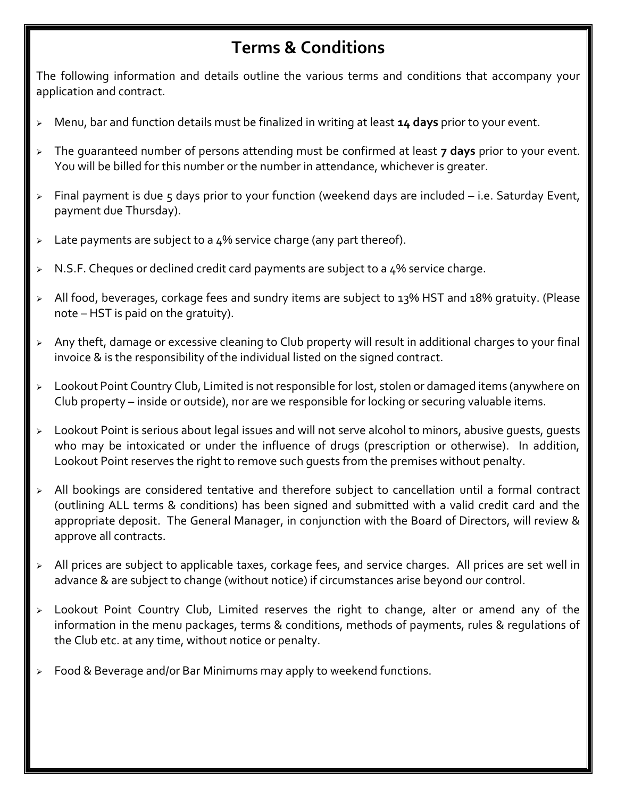# **Terms & Conditions**

The following information and details outline the various terms and conditions that accompany your application and contract.

- Menu, bar and function details must be finalized in writing at least **14 days** prior to your event.
- The guaranteed number of persons attending must be confirmed at least **7 days** prior to your event. You will be billed for this number or the number in attendance, whichever is greater.
- $\triangleright$  Final payment is due 5 days prior to your function (weekend days are included  $-$  i.e. Saturday Event, payment due Thursday).
- $\geq$  Late payments are subject to a 4% service charge (any part thereof).
- $\triangleright$  N.S.F. Cheques or declined credit card payments are subject to a 4% service charge.
- All food, beverages, corkage fees and sundry items are subject to 13% HST and 18% gratuity. (Please note – HST is paid on the gratuity).
- $\triangleright$  Any theft, damage or excessive cleaning to Club property will result in additional charges to your final invoice & is the responsibility of the individual listed on the signed contract.
- > Lookout Point Country Club, Limited is not responsible for lost, stolen or damaged items (anywhere on Club property – inside or outside), nor are we responsible for locking or securing valuable items.
- > Lookout Point is serious about legal issues and will not serve alcohol to minors, abusive quests, quests who may be intoxicated or under the influence of drugs (prescription or otherwise). In addition, Lookout Point reserves the right to remove such guests from the premises without penalty.
- $\triangleright$  All bookings are considered tentative and therefore subject to cancellation until a formal contract (outlining ALL terms & conditions) has been signed and submitted with a valid credit card and the appropriate deposit. The General Manager, in conjunction with the Board of Directors, will review & approve all contracts.
- > All prices are subject to applicable taxes, corkage fees, and service charges. All prices are set well in advance & are subject to change (without notice) if circumstances arise beyond our control.
- Lookout Point Country Club, Limited reserves the right to change, alter or amend any of the information in the menu packages, terms & conditions, methods of payments, rules & regulations of the Club etc. at any time, without notice or penalty.
- $\geq$  Food & Beverage and/or Bar Minimums may apply to weekend functions.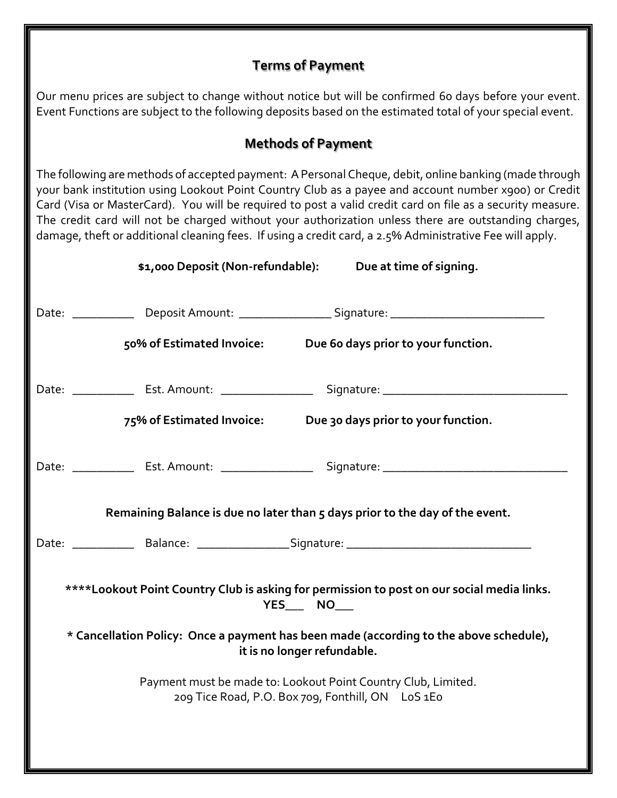## **Terms of Payment**

Our menu prices are subject to change without notice but will be confirmed 60 days before your event. Event Functions are subject to the following deposits based on the estimated total of your special event.

## **Methods of Payment**

The following are methods of accepted payment: A Personal Cheque, debit, online banking (made through your bank institution using Lookout Point Country Club as a payee and account number x900) or Credit Card (Visa or MasterCard). You will be required to post a valid credit card on file as a security measure. The credit card will not be charged without your authorization unless there are outstanding charges, damage, theft or additional cleaning fees. If using a credit card, a 2.5% Administrative Fee will apply.

| \$1,000 Deposit (Non-refundable):                                                                            | Due at time of signing.                                                                                                                                               |  |  |
|--------------------------------------------------------------------------------------------------------------|-----------------------------------------------------------------------------------------------------------------------------------------------------------------------|--|--|
|                                                                                                              | Date: _______________ Deposit Amount: ____________________Signature: _______________________________<br>50% of Estimated Invoice: Due 60 days prior to your function. |  |  |
|                                                                                                              |                                                                                                                                                                       |  |  |
|                                                                                                              | 75% of Estimated Invoice: Due 30 days prior to your function.                                                                                                         |  |  |
|                                                                                                              | Date: _______________ Est. Amount: ______________________ Signature: _______________________________                                                                  |  |  |
|                                                                                                              | Remaining Balance is due no later than 5 days prior to the day of the event.                                                                                          |  |  |
|                                                                                                              |                                                                                                                                                                       |  |  |
| ****Lookout Point Country Club is asking for permission to post on our social media links.<br>YES_____ NO___ |                                                                                                                                                                       |  |  |
|                                                                                                              | * Cancellation Policy: Once a payment has been made (according to the above schedule),<br>it is no longer refundable.                                                 |  |  |
|                                                                                                              | Payment must be made to: Lookout Point Country Club, Limited.<br>209 Tice Road, P.O. Box 709, Fonthill, ON LoS 1Eo                                                    |  |  |
|                                                                                                              |                                                                                                                                                                       |  |  |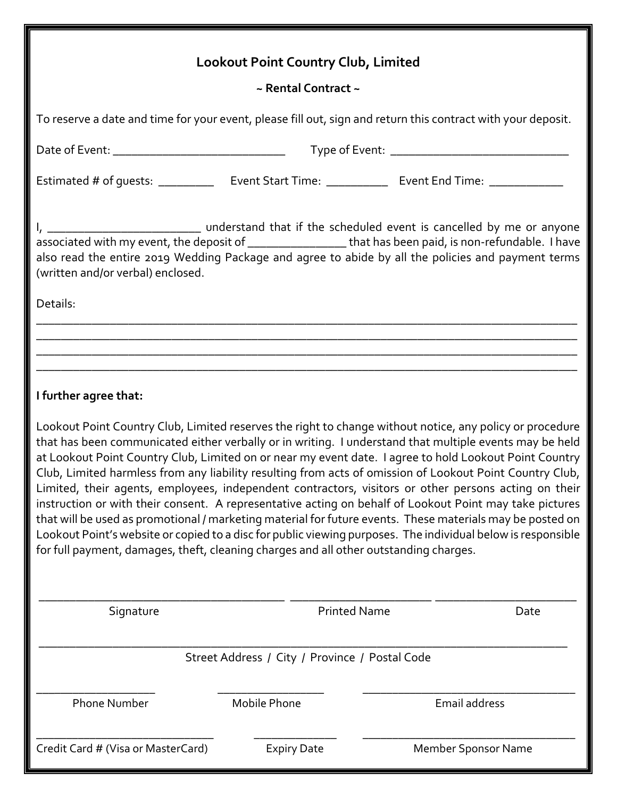# **Lookout Point Country Club, Limited**

## **~ Rental Contract ~**

|                                                                                                                                                                                                                                                                                                                                                                                                                                                                                                                                                                                                                                                                                                                                                                                                                                                                                                                                                                                    |                     | To reserve a date and time for your event, please fill out, sign and return this contract with your deposit.          |  |  |
|------------------------------------------------------------------------------------------------------------------------------------------------------------------------------------------------------------------------------------------------------------------------------------------------------------------------------------------------------------------------------------------------------------------------------------------------------------------------------------------------------------------------------------------------------------------------------------------------------------------------------------------------------------------------------------------------------------------------------------------------------------------------------------------------------------------------------------------------------------------------------------------------------------------------------------------------------------------------------------|---------------------|-----------------------------------------------------------------------------------------------------------------------|--|--|
|                                                                                                                                                                                                                                                                                                                                                                                                                                                                                                                                                                                                                                                                                                                                                                                                                                                                                                                                                                                    |                     |                                                                                                                       |  |  |
|                                                                                                                                                                                                                                                                                                                                                                                                                                                                                                                                                                                                                                                                                                                                                                                                                                                                                                                                                                                    |                     |                                                                                                                       |  |  |
| associated with my event, the deposit of ___________________that has been paid, is non-refundable. I have<br>also read the entire 2019 Wedding Package and agree to abide by all the policies and payment terms<br>(written and/or verbal) enclosed.                                                                                                                                                                                                                                                                                                                                                                                                                                                                                                                                                                                                                                                                                                                               |                     |                                                                                                                       |  |  |
| Details:                                                                                                                                                                                                                                                                                                                                                                                                                                                                                                                                                                                                                                                                                                                                                                                                                                                                                                                                                                           |                     |                                                                                                                       |  |  |
|                                                                                                                                                                                                                                                                                                                                                                                                                                                                                                                                                                                                                                                                                                                                                                                                                                                                                                                                                                                    |                     |                                                                                                                       |  |  |
|                                                                                                                                                                                                                                                                                                                                                                                                                                                                                                                                                                                                                                                                                                                                                                                                                                                                                                                                                                                    |                     | <u> 1989 - Johann Stoff, deutscher Stoff, der Stoff, der Stoff, der Stoff, der Stoff, der Stoff, der Stoff, der S</u> |  |  |
| I further agree that:                                                                                                                                                                                                                                                                                                                                                                                                                                                                                                                                                                                                                                                                                                                                                                                                                                                                                                                                                              |                     |                                                                                                                       |  |  |
| Lookout Point Country Club, Limited reserves the right to change without notice, any policy or procedure<br>that has been communicated either verbally or in writing. I understand that multiple events may be held<br>at Lookout Point Country Club, Limited on or near my event date. I agree to hold Lookout Point Country<br>Club, Limited harmless from any liability resulting from acts of omission of Lookout Point Country Club,<br>Limited, their agents, employees, independent contractors, visitors or other persons acting on their<br>instruction or with their consent. A representative acting on behalf of Lookout Point may take pictures<br>that will be used as promotional / marketing material for future events. These materials may be posted on<br>Lookout Point's website or copied to a disc for public viewing purposes. The individual below is responsible<br>for full payment, damages, theft, cleaning charges and all other outstanding charges. |                     |                                                                                                                       |  |  |
| Signature                                                                                                                                                                                                                                                                                                                                                                                                                                                                                                                                                                                                                                                                                                                                                                                                                                                                                                                                                                          | <b>Printed Name</b> | Date                                                                                                                  |  |  |
| Street Address / City / Province / Postal Code                                                                                                                                                                                                                                                                                                                                                                                                                                                                                                                                                                                                                                                                                                                                                                                                                                                                                                                                     |                     |                                                                                                                       |  |  |
| <b>Phone Number</b>                                                                                                                                                                                                                                                                                                                                                                                                                                                                                                                                                                                                                                                                                                                                                                                                                                                                                                                                                                | Mobile Phone        | Email address                                                                                                         |  |  |
| Credit Card # (Visa or MasterCard)                                                                                                                                                                                                                                                                                                                                                                                                                                                                                                                                                                                                                                                                                                                                                                                                                                                                                                                                                 | <b>Expiry Date</b>  | Member Sponsor Name                                                                                                   |  |  |